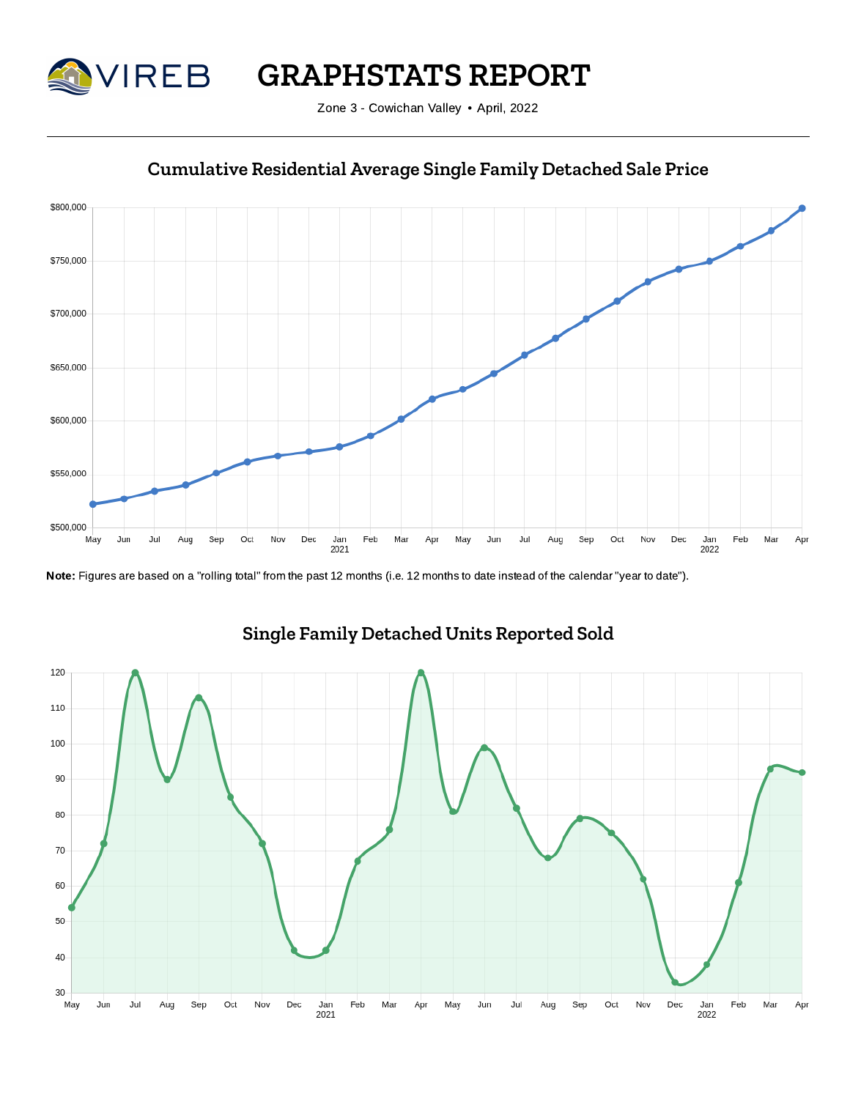

**GRAPHSTATS REPORT**

Zone 3 - Cowichan Valley • April, 2022



## **Cumulative Residential Average Single Family Detached Sale Price**

Note: Figures are based on a "rolling total" from the past 12 months (i.e. 12 months to date instead of the calendar "year to date").



# **Single Family Detached Units Reported Sold**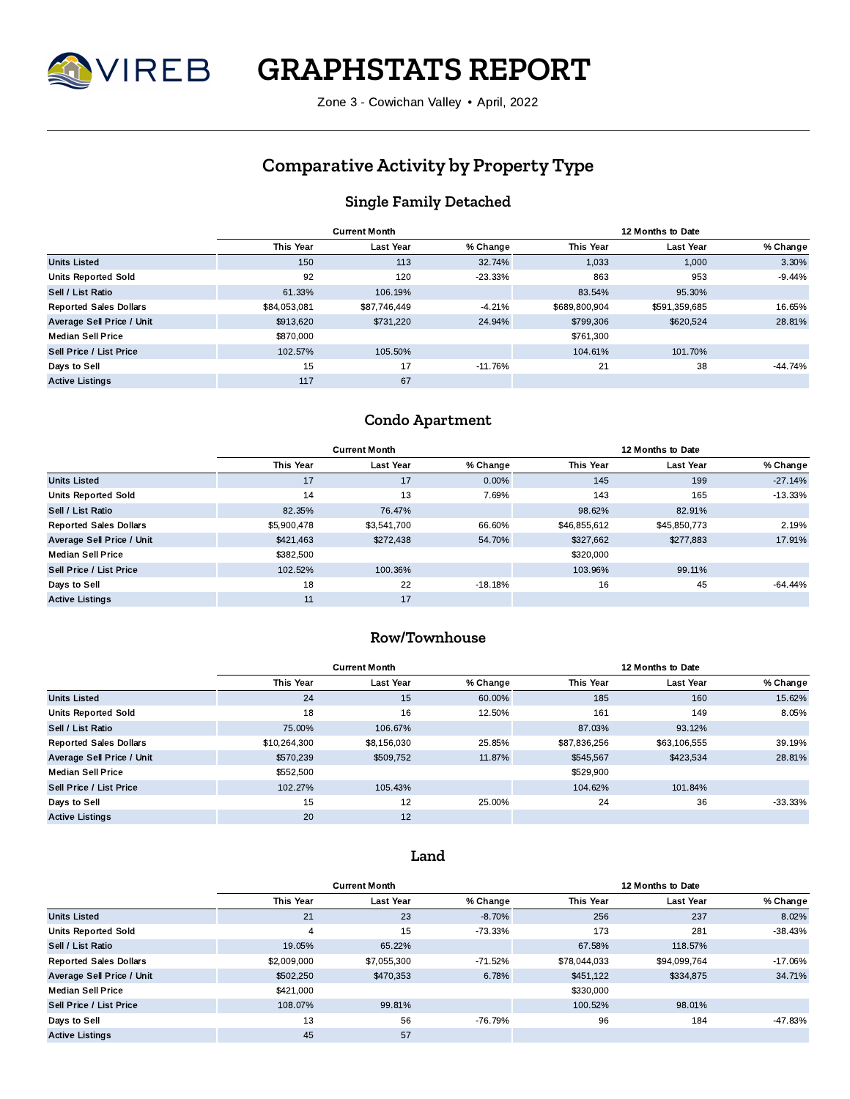

**GRAPHSTATS REPORT**

Zone 3 - Cowichan Valley • April, 2022

## **Comparative Activity by Property Type**

## **Single Family Detached**

|                               |                  | <b>Current Month</b> |            | 12 Months to Date |               |           |  |  |  |
|-------------------------------|------------------|----------------------|------------|-------------------|---------------|-----------|--|--|--|
|                               | <b>This Year</b> | <b>Last Year</b>     | % Change   | <b>This Year</b>  | Last Year     | % Change  |  |  |  |
| <b>Units Listed</b>           | 150              | 113                  | 32.74%     | 1.033             | 1,000         | 3.30%     |  |  |  |
| <b>Units Reported Sold</b>    | 92               | 120                  | $-23.33\%$ | 863               | 953           | $-9.44%$  |  |  |  |
| Sell / List Ratio             | 61.33%           | 106.19%              |            | 83.54%            | 95.30%        |           |  |  |  |
| <b>Reported Sales Dollars</b> | \$84,053,081     | \$87,746,449         | $-4.21%$   | \$689,800,904     | \$591,359,685 | 16.65%    |  |  |  |
| Average Sell Price / Unit     | \$913,620        | \$731,220            | 24.94%     | \$799,306         | \$620,524     | 28.81%    |  |  |  |
| <b>Median Sell Price</b>      | \$870,000        |                      |            | \$761,300         |               |           |  |  |  |
| Sell Price / List Price       | 102.57%          | 105.50%              |            | 104.61%           | 101.70%       |           |  |  |  |
| Days to Sell                  | 15               | 17                   | $-11.76%$  | 21                | 38            | $-44.74%$ |  |  |  |
| <b>Active Listings</b>        | 117              | 67                   |            |                   |               |           |  |  |  |

#### **Condo Apartment**

|                               |                  | <b>Current Month</b> |           | 12 Months to Date |                  |           |  |  |  |
|-------------------------------|------------------|----------------------|-----------|-------------------|------------------|-----------|--|--|--|
|                               | <b>This Year</b> | <b>Last Year</b>     | % Change  | <b>This Year</b>  | <b>Last Year</b> | % Change  |  |  |  |
| <b>Units Listed</b>           | 17               | 17                   | 0.00%     | 145               | 199              | $-27.14%$ |  |  |  |
| <b>Units Reported Sold</b>    | 14               | 13                   | 7.69%     | 143               | 165              | $-13.33%$ |  |  |  |
| Sell / List Ratio             | 82.35%           | 76.47%               |           | 98.62%            | 82.91%           |           |  |  |  |
| <b>Reported Sales Dollars</b> | \$5,900,478      | \$3,541,700          | 66.60%    | \$46,855,612      | \$45,850,773     | 2.19%     |  |  |  |
| Average Sell Price / Unit     | \$421,463        | \$272,438            | 54.70%    | \$327,662         | \$277,883        | 17.91%    |  |  |  |
| <b>Median Sell Price</b>      | \$382,500        |                      |           | \$320,000         |                  |           |  |  |  |
| Sell Price / List Price       | 102.52%          | 100.36%              |           | 103.96%           | 99.11%           |           |  |  |  |
| Days to Sell                  | 18               | 22                   | $-18.18%$ | 16                | 45               | $-64.44%$ |  |  |  |
| <b>Active Listings</b>        | 11               | 17                   |           |                   |                  |           |  |  |  |

### **Row/Townhouse**

|                               |              | <b>Current Month</b> |          | 12 Months to Date |                  |           |  |  |  |
|-------------------------------|--------------|----------------------|----------|-------------------|------------------|-----------|--|--|--|
|                               | This Year    | Last Year            | % Change | <b>This Year</b>  | <b>Last Year</b> | % Change  |  |  |  |
| <b>Units Listed</b>           | 24           | 15                   | 60.00%   | 185               | 160              | 15.62%    |  |  |  |
| <b>Units Reported Sold</b>    | 18           | 16                   | 12.50%   | 161               | 149              | 8.05%     |  |  |  |
| Sell / List Ratio             | 75.00%       | 106.67%              |          | 87.03%            | 93.12%           |           |  |  |  |
| <b>Reported Sales Dollars</b> | \$10,264,300 | \$8,156,030          | 25.85%   | \$87,836,256      | \$63,106,555     | 39.19%    |  |  |  |
| Average Sell Price / Unit     | \$570,239    | \$509,752            | 11.87%   | \$545,567         | \$423,534        | 28.81%    |  |  |  |
| <b>Median Sell Price</b>      | \$552.500    |                      |          | \$529,900         |                  |           |  |  |  |
| Sell Price / List Price       | 102.27%      | 105.43%              |          | 104.62%           | 101.84%          |           |  |  |  |
| Days to Sell                  | 15           | 12                   | 25.00%   | 24                | 36               | $-33.33%$ |  |  |  |
| <b>Active Listings</b>        | 20           | 12                   |          |                   |                  |           |  |  |  |

#### **Land**

|                               |                  | <b>Current Month</b> |            | 12 Months to Date |                  |           |  |  |  |
|-------------------------------|------------------|----------------------|------------|-------------------|------------------|-----------|--|--|--|
|                               | <b>This Year</b> | <b>Last Year</b>     | % Change   | <b>This Year</b>  | <b>Last Year</b> | % Change  |  |  |  |
| <b>Units Listed</b>           | 21               | 23                   | $-8.70%$   | 256               | 237              | 8.02%     |  |  |  |
| <b>Units Reported Sold</b>    |                  | 15                   | -73.33%    | 173               | 281              | $-38.43%$ |  |  |  |
| Sell / List Ratio             | 19.05%           | 65.22%               |            | 67.58%            | 118.57%          |           |  |  |  |
| <b>Reported Sales Dollars</b> | \$2,009,000      | \$7,055,300          | $-71.52\%$ | \$78,044,033      | \$94,099,764     | $-17.06%$ |  |  |  |
| Average Sell Price / Unit     | \$502.250        | \$470.353            | 6.78%      | \$451.122         | \$334,875        | 34.71%    |  |  |  |
| <b>Median Sell Price</b>      | \$421,000        |                      |            | \$330,000         |                  |           |  |  |  |
| Sell Price / List Price       | 108.07%          | 99.81%               |            | 100.52%           | 98.01%           |           |  |  |  |
| Days to Sell                  | 13               | 56                   | -76.79%    | 96                | 184              | $-47.83%$ |  |  |  |
| <b>Active Listings</b>        | 45               | 57                   |            |                   |                  |           |  |  |  |